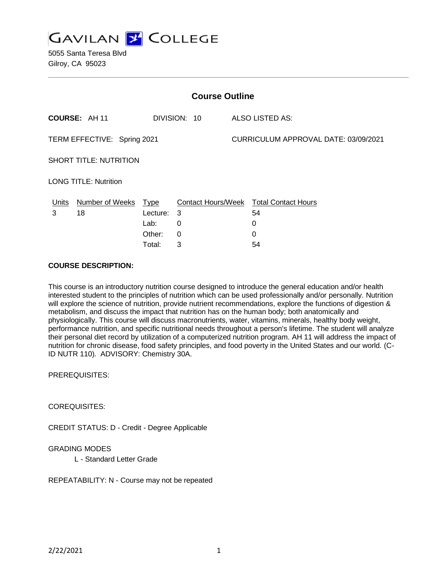

5055 Santa Teresa Blvd Gilroy, CA 95023

| <b>Course Outline</b>         |                      |          |              |                                      |                                               |
|-------------------------------|----------------------|----------|--------------|--------------------------------------|-----------------------------------------------|
|                               | COURSE: AH 11        |          | DIVISION: 10 |                                      | <b>ALSO LISTED AS:</b>                        |
| TERM EFFECTIVE: Spring 2021   |                      |          |              | CURRICULUM APPROVAL DATE: 03/09/2021 |                                               |
| <b>SHORT TITLE: NUTRITION</b> |                      |          |              |                                      |                                               |
| <b>LONG TITLE: Nutrition</b>  |                      |          |              |                                      |                                               |
| Units                         | Number of Weeks Type |          |              |                                      | <b>Contact Hours/Week Total Contact Hours</b> |
| 3                             | 18                   | Lecture: | 3            |                                      | 54                                            |
|                               |                      | Lab:     | 0            |                                      | 0                                             |
|                               |                      | Other:   | 0            |                                      | 0                                             |
|                               |                      | Total:   | 3            |                                      | 54                                            |

## **COURSE DESCRIPTION:**

This course is an introductory nutrition course designed to introduce the general education and/or health interested student to the principles of nutrition which can be used professionally and/or personally. Nutrition will explore the science of nutrition, provide nutrient recommendations, explore the functions of digestion & metabolism, and discuss the impact that nutrition has on the human body; both anatomically and physiologically. This course will discuss macronutrients, water, vitamins, minerals, healthy body weight, performance nutrition, and specific nutritional needs throughout a person's lifetime. The student will analyze their personal diet record by utilization of a computerized nutrition program. AH 11 will address the impact of nutrition for chronic disease, food safety principles, and food poverty in the United States and our world. (C-ID NUTR 110). ADVISORY: Chemistry 30A.

PREREQUISITES:

COREQUISITES:

CREDIT STATUS: D - Credit - Degree Applicable

#### GRADING MODES

L - Standard Letter Grade

REPEATABILITY: N - Course may not be repeated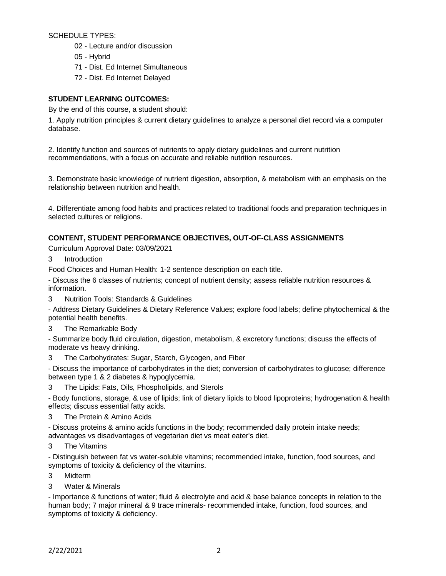SCHEDULE TYPES:

- 02 Lecture and/or discussion
- 05 Hybrid
- 71 Dist. Ed Internet Simultaneous
- 72 Dist. Ed Internet Delayed

### **STUDENT LEARNING OUTCOMES:**

By the end of this course, a student should:

1. Apply nutrition principles & current dietary guidelines to analyze a personal diet record via a computer database.

2. Identify function and sources of nutrients to apply dietary guidelines and current nutrition recommendations, with a focus on accurate and reliable nutrition resources.

3. Demonstrate basic knowledge of nutrient digestion, absorption, & metabolism with an emphasis on the relationship between nutrition and health.

4. Differentiate among food habits and practices related to traditional foods and preparation techniques in selected cultures or religions.

### **CONTENT, STUDENT PERFORMANCE OBJECTIVES, OUT-OF-CLASS ASSIGNMENTS**

Curriculum Approval Date: 03/09/2021

3 Introduction

Food Choices and Human Health: 1-2 sentence description on each title.

- Discuss the 6 classes of nutrients; concept of nutrient density; assess reliable nutrition resources & information.

3 Nutrition Tools: Standards & Guidelines

- Address Dietary Guidelines & Dietary Reference Values; explore food labels; define phytochemical & the potential health benefits.

3 The Remarkable Body

- Summarize body fluid circulation, digestion, metabolism, & excretory functions; discuss the effects of moderate vs heavy drinking.

3 The Carbohydrates: Sugar, Starch, Glycogen, and Fiber

- Discuss the importance of carbohydrates in the diet; conversion of carbohydrates to glucose; difference between type 1 & 2 diabetes & hypoglycemia.

3 The Lipids: Fats, Oils, Phospholipids, and Sterols

- Body functions, storage, & use of lipids; link of dietary lipids to blood lipoproteins; hydrogenation & health effects; discuss essential fatty acids.

3 The Protein & Amino Acids

- Discuss proteins & amino acids functions in the body; recommended daily protein intake needs; advantages vs disadvantages of vegetarian diet vs meat eater's diet.

3 The Vitamins

- Distinguish between fat vs water-soluble vitamins; recommended intake, function, food sources, and symptoms of toxicity & deficiency of the vitamins.

- 3 Midterm
- 3 Water & Minerals

- Importance & functions of water; fluid & electrolyte and acid & base balance concepts in relation to the human body; 7 major mineral & 9 trace minerals- recommended intake, function, food sources, and symptoms of toxicity & deficiency.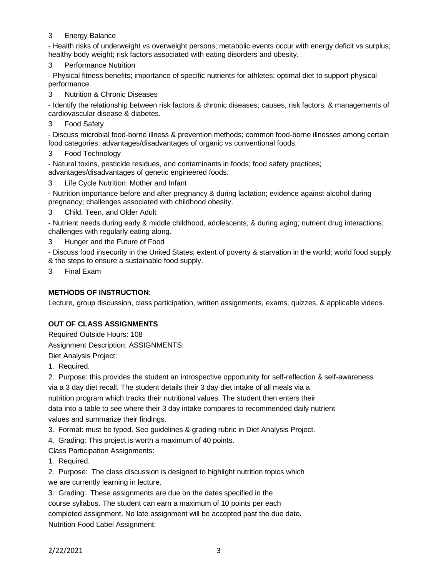### 3 Energy Balance

- Health risks of underweight vs overweight persons; metabolic events occur with energy deficit vs surplus; healthy body weight; risk factors associated with eating disorders and obesity.

3 Performance Nutrition

- Physical fitness benefits; importance of specific nutrients for athletes; optimal diet to support physical performance.

3 Nutrition & Chronic Diseases

- Identify the relationship between risk factors & chronic diseases; causes, risk factors, & managements of cardiovascular disease & diabetes.

3 Food Safety

- Discuss microbial food-borne illness & prevention methods; common food-borne illnesses among certain food categories; advantages/disadvantages of organic vs conventional foods.

3 Food Technology

- Natural toxins, pesticide residues, and contaminants in foods; food safety practices; advantages/disadvantages of genetic engineered foods.

3 Life Cycle Nutrition: Mother and Infant

- Nutrition importance before and after pregnancy & during lactation; evidence against alcohol during pregnancy; challenges associated with childhood obesity.

3 Child, Teen, and Older Adult

- Nutrient needs during early & middle childhood, adolescents, & during aging; nutrient drug interactions; challenges with regularly eating along.

Hunger and the Future of Food

- Discuss food insecurity in the United States; extent of poverty & starvation in the world; world food supply & the steps to ensure a sustainable food supply.

3 Final Exam

## **METHODS OF INSTRUCTION:**

Lecture, group discussion, class participation, written assignments, exams, quizzes, & applicable videos.

## **OUT OF CLASS ASSIGNMENTS**

Required Outside Hours: 108 Assignment Description: ASSIGNMENTS: Diet Analysis Project:

1. Required.

2. Purpose: this provides the student an introspective opportunity for self-reflection & self-awareness

via a 3 day diet recall. The student details their 3 day diet intake of all meals via a nutrition program which tracks their nutritional values. The student then enters their data into a table to see where their 3 day intake compares to recommended daily nutrient values and summarize their findings.

3. Format: must be typed. See guidelines & grading rubric in Diet Analysis Project.

4. Grading: This project is worth a maximum of 40 points.

Class Participation Assignments:

1. Required.

2. Purpose: The class discussion is designed to highlight nutrition topics which we are currently learning in lecture.

3. Grading: These assignments are due on the dates specified in the course syllabus. The student can earn a maximum of 10 points per each completed assignment. No late assignment will be accepted past the due date. Nutrition Food Label Assignment: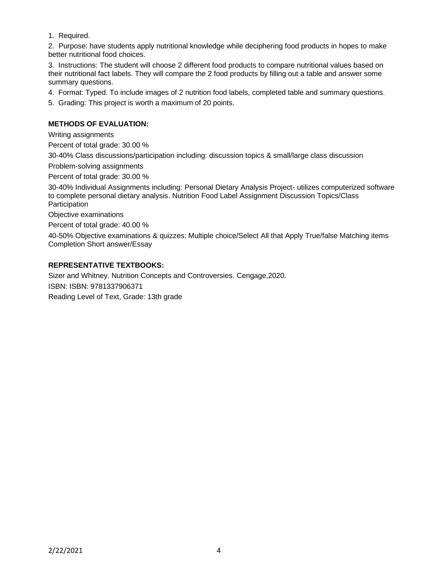1. Required.

2. Purpose: have students apply nutritional knowledge while deciphering food products in hopes to make better nutritional food choices.

3. Instructions: The student will choose 2 different food products to compare nutritional values based on their nutritional fact labels. They will compare the 2 food products by filling out a table and answer some summary questions.

4. Format: Typed. To include images of 2 nutrition food labels, completed table and summary questions.

5. Grading: This project is worth a maximum of 20 points.

# **METHODS OF EVALUATION:**

Writing assignments

Percent of total grade: 30.00 %

30-40% Class discussions/participation including: discussion topics & small/large class discussion

Problem-solving assignments

Percent of total grade: 30.00 %

30-40% Individual Assignments including: Personal Dietary Analysis Project- utilizes computerized software to complete personal dietary analysis. Nutrition Food Label Assignment Discussion Topics/Class Participation

Objective examinations

Percent of total grade: 40.00 %

40-50% Objective examinations & quizzes: Multiple choice/Select All that Apply True/false Matching items Completion Short answer/Essay

### **REPRESENTATIVE TEXTBOOKS:**

Sizer and Whitney. Nutrition Concepts and Controversies. Cengage,2020. ISBN: ISBN: 9781337906371 Reading Level of Text, Grade: 13th grade